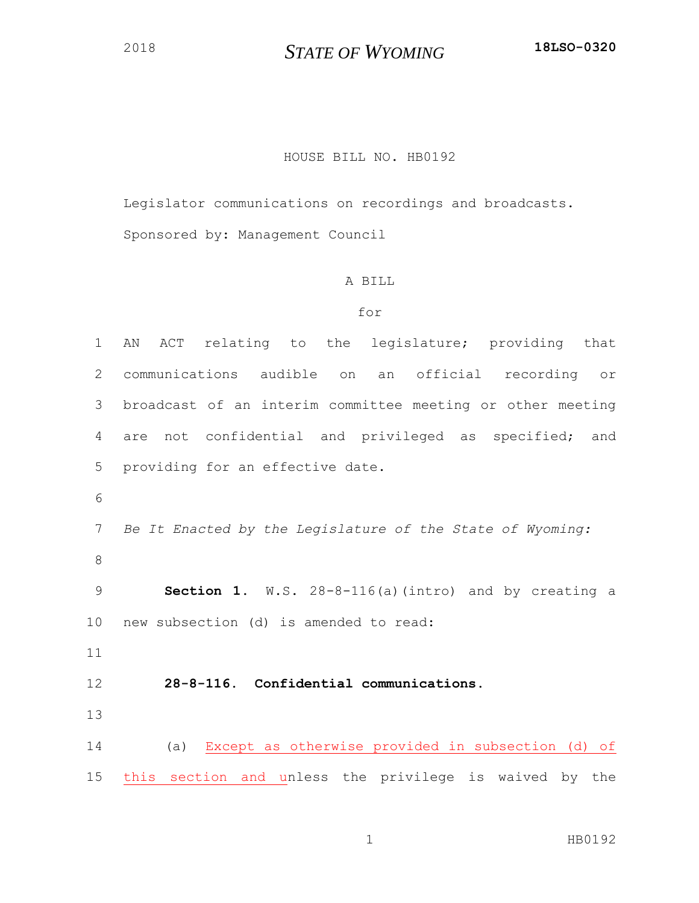## *STATE OF WYOMING* **18LSO-0320**

## HOUSE BILL NO. HB0192

Legislator communications on recordings and broadcasts. Sponsored by: Management Council

## A BILL

## for

 AN ACT relating to the legislature; providing that communications audible on an official recording or broadcast of an interim committee meeting or other meeting are not confidential and privileged as specified; and providing for an effective date. *Be It Enacted by the Legislature of the State of Wyoming:* **Section 1.** W.S. 28-8-116(a)(intro) and by creating a new subsection (d) is amended to read: **28-8-116. Confidential communications.** (a) Except as otherwise provided in subsection (d) of this section and unless the privilege is waived by the